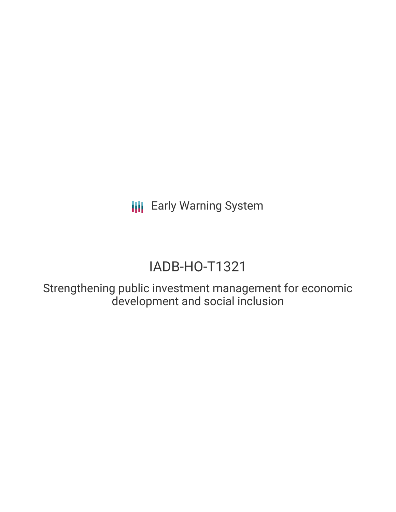**III** Early Warning System

# IADB-HO-T1321

Strengthening public investment management for economic development and social inclusion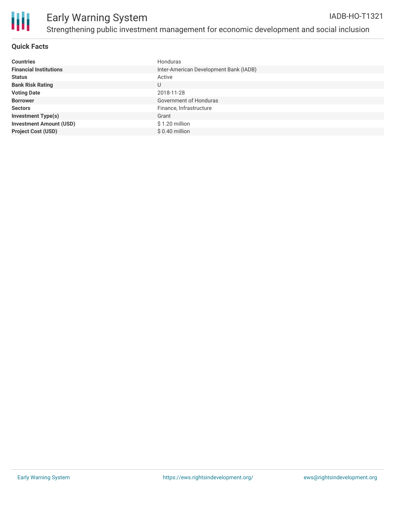

# **Quick Facts**

| <b>Countries</b>               | Honduras                               |
|--------------------------------|----------------------------------------|
| <b>Financial Institutions</b>  | Inter-American Development Bank (IADB) |
| <b>Status</b>                  | Active                                 |
| <b>Bank Risk Rating</b>        | U                                      |
| <b>Voting Date</b>             | 2018-11-28                             |
| <b>Borrower</b>                | Government of Honduras                 |
| <b>Sectors</b>                 | Finance, Infrastructure                |
| <b>Investment Type(s)</b>      | Grant                                  |
| <b>Investment Amount (USD)</b> | $$1.20$ million                        |
| <b>Project Cost (USD)</b>      | $$0.40$ million                        |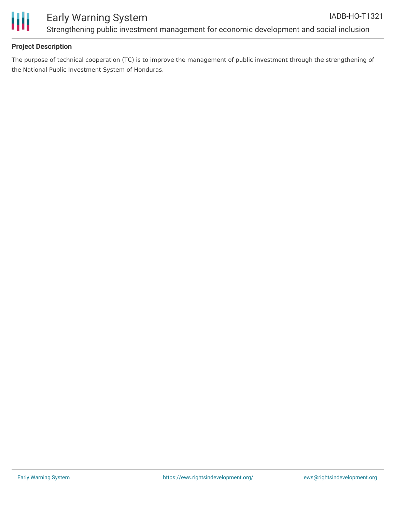

Ш

# Early Warning System Strengthening public investment management for economic development and social inclusion

# **Project Description**

The purpose of technical cooperation (TC) is to improve the management of public investment through the strengthening of the National Public Investment System of Honduras.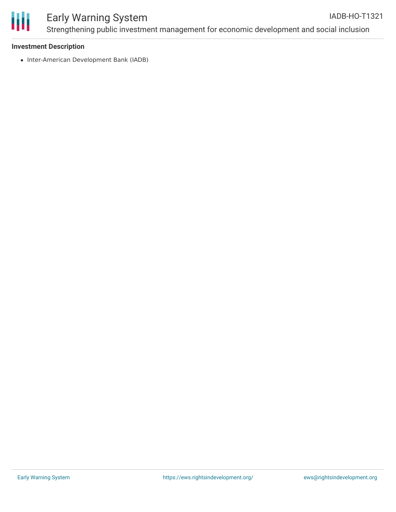

#### Early Warning System Strengthening public investment management for economic development and social inclusion IADB-HO-T1321

## **Investment Description**

• Inter-American Development Bank (IADB)